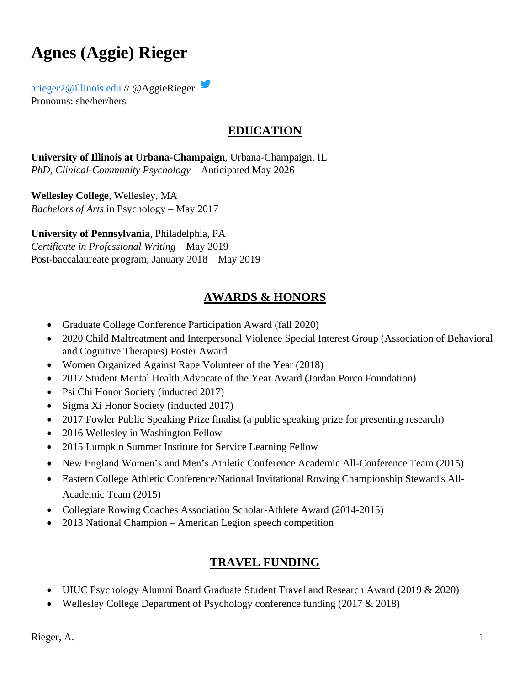# **Agnes (Aggie) Rieger**

[arieger2@illinois.edu](mailto:arieger2@illinois.edu) // @AggieRieger Pronouns: she/her/hers

# **EDUCATION**

**University of Illinois at Urbana-Champaign**, Urbana-Champaign, IL *PhD, Clinical-Community Psychology* – Anticipated May 2026

**Wellesley College**, Wellesley, MA *Bachelors of Arts* in Psychology – May 2017

**University of Pennsylvania**, Philadelphia, PA *Certificate in Professional Writing* – May 2019 Post-baccalaureate program, January 2018 – May 2019

# **AWARDS & HONORS**

- Graduate College Conference Participation Award (fall 2020)
- 2020 Child Maltreatment and Interpersonal Violence Special Interest Group (Association of Behavioral and Cognitive Therapies) Poster Award
- Women Organized Against Rape Volunteer of the Year (2018)
- 2017 Student Mental Health Advocate of the Year Award (Jordan Porco Foundation)
- Psi Chi Honor Society (inducted 2017)
- Sigma Xi Honor Society (inducted 2017)
- 2017 Fowler Public Speaking Prize finalist (a public speaking prize for presenting research)
- 2016 Wellesley in Washington Fellow
- 2015 Lumpkin Summer Institute for Service Learning Fellow
- New England Women's and Men's Athletic Conference Academic All-Conference Team (2015)
- Eastern College Athletic Conference/National Invitational Rowing Championship Steward's All-Academic Team (2015)
- Collegiate Rowing Coaches Association Scholar-Athlete Award (2014-2015)
- 2013 National Champion American Legion speech competition

# **TRAVEL FUNDING**

- UIUC Psychology Alumni Board Graduate Student Travel and Research Award (2019 & 2020)
- Wellesley College Department of Psychology conference funding (2017 & 2018)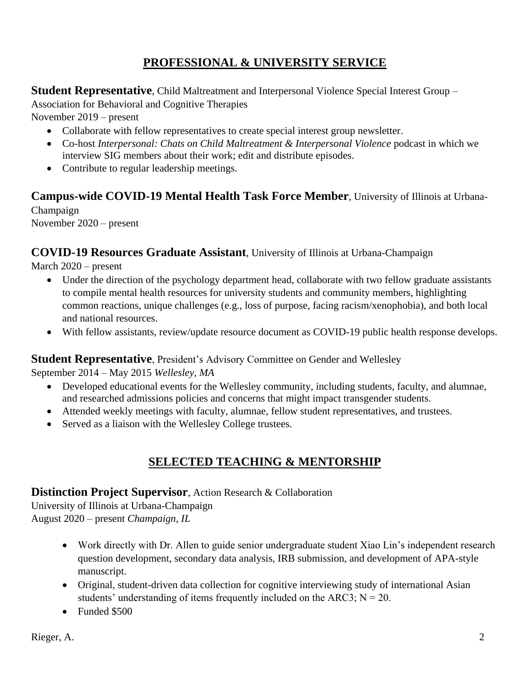# **PROFESSIONAL & UNIVERSITY SERVICE**

**Student Representative**, Child Maltreatment and Interpersonal Violence Special Interest Group –

Association for Behavioral and Cognitive Therapies

November 2019 – present

- Collaborate with fellow representatives to create special interest group newsletter.
- Co-host *Interpersonal: Chats on Child Maltreatment & Interpersonal Violence* podcast in which we interview SIG members about their work; edit and distribute episodes.
- Contribute to regular leadership meetings.

# **Campus-wide COVID-19 Mental Health Task Force Member**, University of Illinois at Urbana-

Champaign November 2020 – present

# **COVID-19 Resources Graduate Assistant**, University of Illinois at Urbana-Champaign

March 2020 – present

- Under the direction of the psychology department head, collaborate with two fellow graduate assistants to compile mental health resources for university students and community members, highlighting common reactions, unique challenges (e.g., loss of purpose, facing racism/xenophobia), and both local and national resources.
- With fellow assistants, review/update resource document as COVID-19 public health response develops.

#### **Student Representative**, President's Advisory Committee on Gender and Wellesley

September 2014 – May 2015 *Wellesley, MA*

- Developed educational events for the Wellesley community, including students, faculty, and alumnae, and researched admissions policies and concerns that might impact transgender students.
- Attended weekly meetings with faculty, alumnae, fellow student representatives, and trustees.
- Served as a liaison with the Wellesley College trustees.

# **SELECTED TEACHING & MENTORSHIP**

#### **Distinction Project Supervisor**, Action Research & Collaboration

University of Illinois at Urbana-Champaign August 2020 – present *Champaign, IL* 

- Work directly with Dr. Allen to guide senior undergraduate student Xiao Lin's independent research question development, secondary data analysis, IRB submission, and development of APA-style manuscript.
- Original, student-driven data collection for cognitive interviewing study of international Asian students' understanding of items frequently included on the ARC3;  $N = 20$ .
- Funded \$500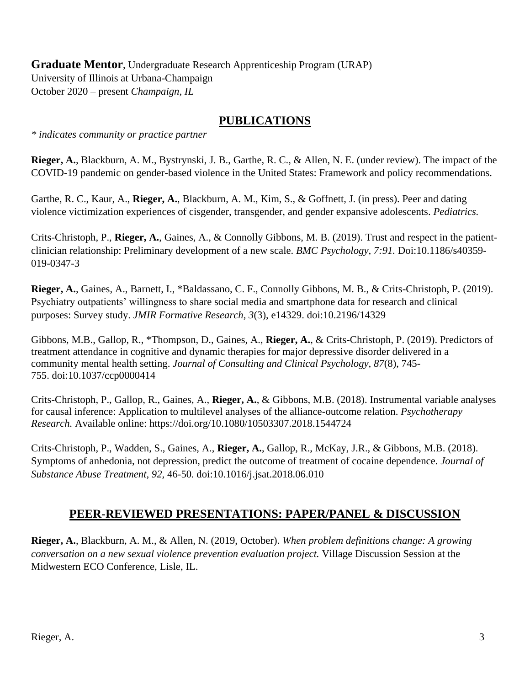**Graduate Mentor**, Undergraduate Research Apprenticeship Program (URAP) University of Illinois at Urbana-Champaign October 2020 – present *Champaign, IL* 

# **PUBLICATIONS**

*\* indicates community or practice partner*

**Rieger, A.**, Blackburn, A. M., Bystrynski, J. B., Garthe, R. C., & Allen, N. E. (under review). The impact of the COVID-19 pandemic on gender-based violence in the United States: Framework and policy recommendations.

Garthe, R. C., Kaur, A., **Rieger, A.**, Blackburn, A. M., Kim, S., & Goffnett, J. (in press). Peer and dating violence victimization experiences of cisgender, transgender, and gender expansive adolescents. *Pediatrics.* 

Crits-Christoph, P., **Rieger, A.**, Gaines, A., & Connolly Gibbons, M. B. (2019). Trust and respect in the patientclinician relationship: Preliminary development of a new scale. *BMC Psychology, 7:91.* Doi:10.1186/s40359- 019-0347-3

**Rieger, A.**, Gaines, A., Barnett, I., \*Baldassano, C. F., Connolly Gibbons, M. B., & Crits-Christoph, P. (2019). Psychiatry outpatients' willingness to share social media and smartphone data for research and clinical purposes: Survey study. *JMIR Formative Research, 3*(3), e14329. doi:[10.2196/14329](https://doi.org/10.2196/14329)

Gibbons, M.B., Gallop, R., \*Thompson, D., Gaines, A., **Rieger, A.**, & Crits-Christoph, P. (2019). Predictors of treatment attendance in cognitive and dynamic therapies for major depressive disorder delivered in a community mental health setting. *Journal of Consulting and Clinical Psychology, 87*(8), 745- 755. doi:10.1037/ccp0000414

Crits-Christoph, P., Gallop, R., Gaines, A., **Rieger, A.**, & Gibbons, M.B. (2018). Instrumental variable analyses for causal inference: Application to multilevel analyses of the alliance-outcome relation. *Psychotherapy Research.* Available online: <https://doi.org/10.1080/10503307.2018.1544724>

Crits-Christoph, P., Wadden, S., Gaines, A., **Rieger, A.**, Gallop, R., McKay, J.R., & Gibbons, M.B. (2018). Symptoms of anhedonia, not depression, predict the outcome of treatment of cocaine dependence*. Journal of Substance Abuse Treatment, 92,* 46-50*.* doi:10.1016/j.jsat.2018.06.010

# **PEER-REVIEWED PRESENTATIONS: PAPER/PANEL & DISCUSSION**

**Rieger, A.**, Blackburn, A. M., & Allen, N. (2019, October). *When problem definitions change: A growing conversation on a new sexual violence prevention evaluation project.* Village Discussion Session at the Midwestern ECO Conference, Lisle, IL.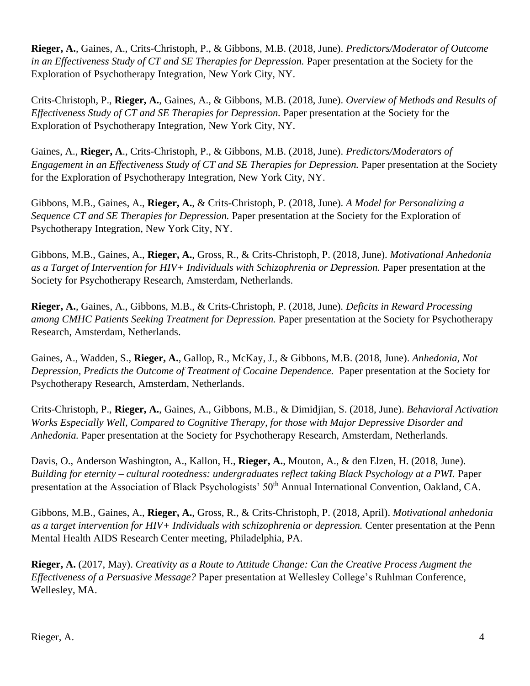**Rieger, A.**, Gaines, A., Crits-Christoph, P., & Gibbons, M.B. (2018, June). *Predictors/Moderator of Outcome in an Effectiveness Study of CT and SE Therapies for Depression.* Paper presentation at the Society for the Exploration of Psychotherapy Integration, New York City, NY.

Crits-Christoph, P., **Rieger, A.**, Gaines, A., & Gibbons, M.B. (2018, June). *Overview of Methods and Results of Effectiveness Study of CT and SE Therapies for Depression.* Paper presentation at the Society for the Exploration of Psychotherapy Integration, New York City, NY.

Gaines, A., **Rieger, A**., Crits-Christoph, P., & Gibbons, M.B. (2018, June). *Predictors/Moderators of Engagement in an Effectiveness Study of CT and SE Therapies for Depression.* Paper presentation at the Society for the Exploration of Psychotherapy Integration, New York City, NY.

Gibbons, M.B., Gaines, A., **Rieger, A.**, & Crits-Christoph, P. (2018, June). *A Model for Personalizing a Sequence CT and SE Therapies for Depression.* Paper presentation at the Society for the Exploration of Psychotherapy Integration, New York City, NY.

Gibbons, M.B., Gaines, A., **Rieger, A.**, Gross, R., & Crits-Christoph, P. (2018, June). *Motivational Anhedonia as a Target of Intervention for HIV+ Individuals with Schizophrenia or Depression.* Paper presentation at the Society for Psychotherapy Research, Amsterdam, Netherlands.

**Rieger, A.**, Gaines, A., Gibbons, M.B., & Crits-Christoph, P. (2018, June). *Deficits in Reward Processing among CMHC Patients Seeking Treatment for Depression.* Paper presentation at the Society for Psychotherapy Research, Amsterdam, Netherlands.

Gaines, A., Wadden, S., **Rieger, A.**, Gallop, R., McKay, J., & Gibbons, M.B. (2018, June). *Anhedonia, Not Depression, Predicts the Outcome of Treatment of Cocaine Dependence.* Paper presentation at the Society for Psychotherapy Research, Amsterdam, Netherlands.

Crits-Christoph, P., **Rieger, A.**, Gaines, A., Gibbons, M.B., & Dimidjian, S. (2018, June). *Behavioral Activation Works Especially Well, Compared to Cognitive Therapy, for those with Major Depressive Disorder and Anhedonia.* Paper presentation at the Society for Psychotherapy Research, Amsterdam, Netherlands.

Davis, O., Anderson Washington, A., Kallon, H., **Rieger, A.**, Mouton, A., & den Elzen, H. (2018, June). *Building for eternity – cultural rootedness: undergraduates reflect taking Black Psychology at a PWI.* Paper presentation at the Association of Black Psychologists' 50<sup>th</sup> Annual International Convention, Oakland, CA.

Gibbons, M.B., Gaines, A., **Rieger, A.**, Gross, R., & Crits-Christoph, P. (2018, April). *Motivational anhedonia as a target intervention for HIV+ Individuals with schizophrenia or depression.* Center presentation at the Penn Mental Health AIDS Research Center meeting, Philadelphia, PA.

**Rieger, A.** (2017, May). *Creativity as a Route to Attitude Change: Can the Creative Process Augment the Effectiveness of a Persuasive Message?* Paper presentation at Wellesley College's Ruhlman Conference, Wellesley, MA.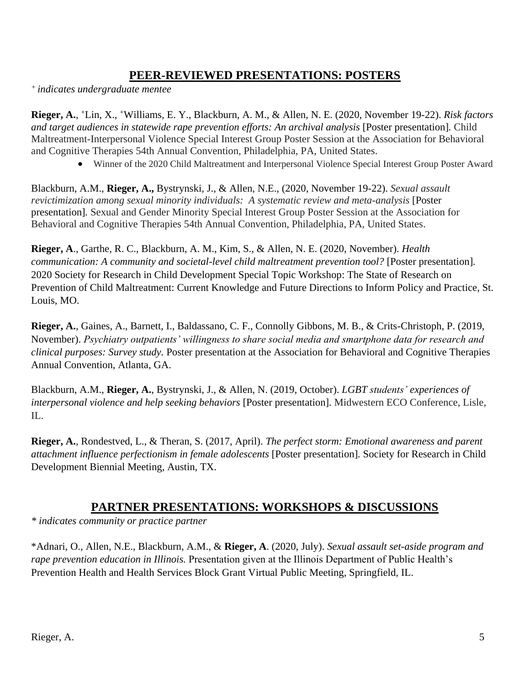# **PEER-REVIEWED PRESENTATIONS: POSTERS**

*<sup>+</sup> indicates undergraduate mentee*

**Rieger, A.**, <sup>+</sup>Lin, X., <sup>+</sup>Williams, E. Y., Blackburn, A. M., & Allen, N. E. (2020, November 19-22). *Risk factors and target audiences in statewide rape prevention efforts: An archival analysis* [Poster presentation]*.* Child Maltreatment-Interpersonal Violence Special Interest Group Poster Session at the Association for Behavioral and Cognitive Therapies 54th Annual Convention, Philadelphia, PA, United States.

Winner of the 2020 Child Maltreatment and Interpersonal Violence Special Interest Group Poster Award

Blackburn, A.M., **Rieger, A.,** Bystrynski, J., & Allen, N.E., (2020, November 19-22). *Sexual assault revictimization among sexual minority individuals: A systematic review and meta-analysis* [Poster presentation]*.* Sexual and Gender Minority Special Interest Group Poster Session at the Association for Behavioral and Cognitive Therapies 54th Annual Convention, Philadelphia, PA, United States.

**Rieger, A**., Garthe, R. C., Blackburn, A. M., Kim, S., & Allen, N. E. (2020, November). *Health communication: A community and societal-level child maltreatment prevention tool?* [Poster presentation]*.* 2020 Society for Research in Child Development Special Topic Workshop: The State of Research on Prevention of Child Maltreatment: Current Knowledge and Future Directions to Inform Policy and Practice, St. Louis, MO.

**Rieger, A.**, Gaines, A., Barnett, I., Baldassano, C. F., Connolly Gibbons, M. B., & Crits-Christoph, P. (2019, November). *Psychiatry outpatients' willingness to share social media and smartphone data for research and clinical purposes: Survey study.* Poster presentation at the Association for Behavioral and Cognitive Therapies Annual Convention, Atlanta, GA.

Blackburn, A.M., **Rieger, A.**, Bystrynski, J., & Allen, N. (2019, October). *LGBT students' experiences of interpersonal violence and help seeking behaviors* [Poster presentation]*.* Midwestern ECO Conference, Lisle, IL.

**Rieger, A.**, Rondestved, L., & Theran, S. (2017, April). *The perfect storm: Emotional awareness and parent attachment influence perfectionism in female adolescents* [Poster presentation]*.* Society for Research in Child Development Biennial Meeting, Austin, TX.

#### **PARTNER PRESENTATIONS: WORKSHOPS & DISCUSSIONS**

*\* indicates community or practice partner*

\*Adnari, O., Allen, N.E., Blackburn, A.M., & **Rieger, A**. (2020, July). *Sexual assault set-aside program and rape prevention education in Illinois.* Presentation given at the Illinois Department of Public Health's Prevention Health and Health Services Block Grant Virtual Public Meeting, Springfield, IL.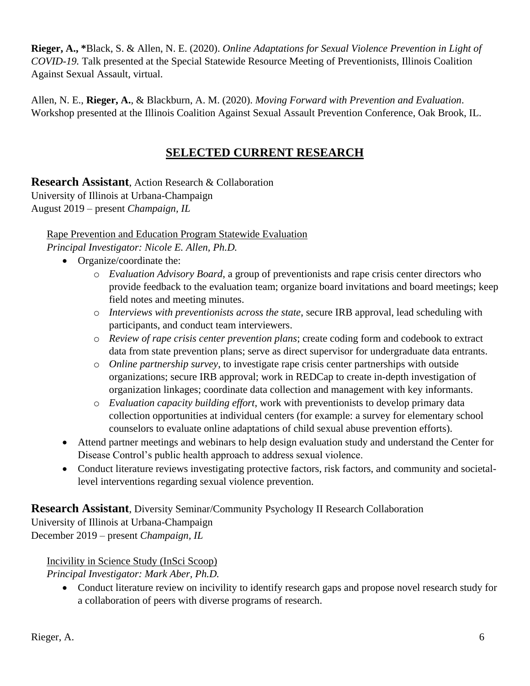**Rieger, A., \***Black, S. & Allen, N. E. (2020). *Online Adaptations for Sexual Violence Prevention in Light of COVID-19.* Talk presented at the Special Statewide Resource Meeting of Preventionists, Illinois Coalition Against Sexual Assault, virtual.

Allen, N. E., **Rieger, A.**, & Blackburn, A. M. (2020). *Moving Forward with Prevention and Evaluation*. Workshop presented at the Illinois Coalition Against Sexual Assault Prevention Conference, Oak Brook, IL.

# **SELECTED CURRENT RESEARCH**

**Research Assistant**, Action Research & Collaboration University of Illinois at Urbana-Champaign

August 2019 – present *Champaign, IL* 

Rape Prevention and Education Program Statewide Evaluation

*Principal Investigator: Nicole E. Allen, Ph.D.* 

- Organize/coordinate the:
	- o *Evaluation Advisory Board*, a group of preventionists and rape crisis center directors who provide feedback to the evaluation team; organize board invitations and board meetings; keep field notes and meeting minutes.
	- o *Interviews with preventionists across the state*, secure IRB approval, lead scheduling with participants, and conduct team interviewers.
	- o *Review of rape crisis center prevention plans*; create coding form and codebook to extract data from state prevention plans; serve as direct supervisor for undergraduate data entrants.
	- o *Online partnership survey*, to investigate rape crisis center partnerships with outside organizations; secure IRB approval; work in REDCap to create in-depth investigation of organization linkages; coordinate data collection and management with key informants.
	- o *Evaluation capacity building effort*, work with preventionists to develop primary data collection opportunities at individual centers (for example: a survey for elementary school counselors to evaluate online adaptations of child sexual abuse prevention efforts).
- Attend partner meetings and webinars to help design evaluation study and understand the Center for Disease Control's public health approach to address sexual violence.
- Conduct literature reviews investigating protective factors, risk factors, and community and societallevel interventions regarding sexual violence prevention.

**Research Assistant**, Diversity Seminar/Community Psychology II Research Collaboration University of Illinois at Urbana-Champaign December 2019 – present *Champaign, IL* 

#### Incivility in Science Study (InSci Scoop)

*Principal Investigator: Mark Aber, Ph.D.* 

 Conduct literature review on incivility to identify research gaps and propose novel research study for a collaboration of peers with diverse programs of research.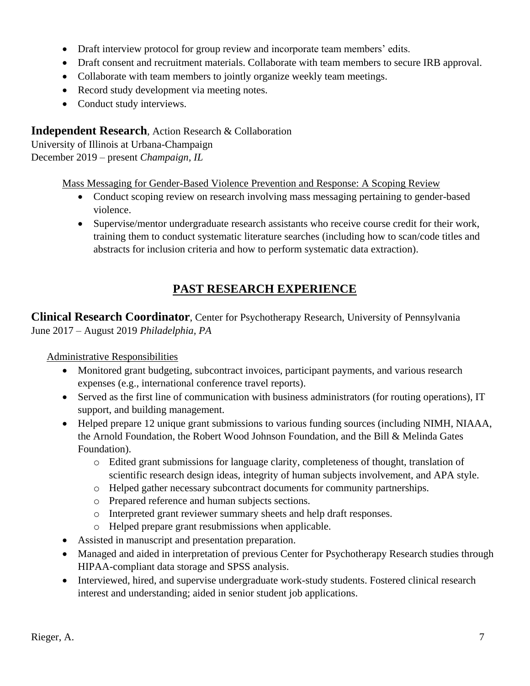- Draft interview protocol for group review and incorporate team members' edits.
- Draft consent and recruitment materials. Collaborate with team members to secure IRB approval.
- Collaborate with team members to jointly organize weekly team meetings.
- Record study development via meeting notes.
- Conduct study interviews.

#### **Independent Research**, Action Research & Collaboration

University of Illinois at Urbana-Champaign December 2019 – present *Champaign, IL* 

Mass Messaging for Gender-Based Violence Prevention and Response: A Scoping Review

- Conduct scoping review on research involving mass messaging pertaining to gender-based violence.
- Supervise/mentor undergraduate research assistants who receive course credit for their work, training them to conduct systematic literature searches (including how to scan/code titles and abstracts for inclusion criteria and how to perform systematic data extraction).

# **PAST RESEARCH EXPERIENCE**

**Clinical Research Coordinator**, Center for Psychotherapy Research, University of Pennsylvania June 2017 – August 2019 *Philadelphia, PA* 

#### Administrative Responsibilities

- Monitored grant budgeting, subcontract invoices, participant payments, and various research expenses (e.g., international conference travel reports).
- Served as the first line of communication with business administrators (for routing operations), IT support, and building management.
- Helped prepare 12 unique grant submissions to various funding sources (including NIMH, NIAAA, the Arnold Foundation, the Robert Wood Johnson Foundation, and the Bill & Melinda Gates Foundation).
	- o Edited grant submissions for language clarity, completeness of thought, translation of scientific research design ideas, integrity of human subjects involvement, and APA style.
	- o Helped gather necessary subcontract documents for community partnerships.
	- o Prepared reference and human subjects sections.
	- o Interpreted grant reviewer summary sheets and help draft responses.
	- o Helped prepare grant resubmissions when applicable.
- Assisted in manuscript and presentation preparation.
- Managed and aided in interpretation of previous Center for Psychotherapy Research studies through HIPAA-compliant data storage and SPSS analysis.
- Interviewed, hired, and supervise undergraduate work-study students. Fostered clinical research interest and understanding; aided in senior student job applications.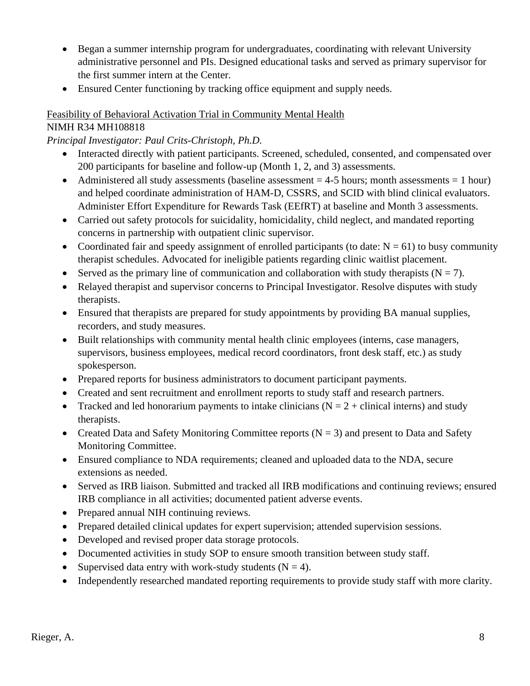- Began a summer internship program for undergraduates, coordinating with relevant University administrative personnel and PIs. Designed educational tasks and served as primary supervisor for the first summer intern at the Center.
- Ensured Center functioning by tracking office equipment and supply needs.

#### Feasibility of Behavioral Activation Trial in Community Mental Health

#### NIMH R34 MH108818

*Principal Investigator: Paul Crits-Christoph, Ph.D.* 

- Interacted directly with patient participants. Screened, scheduled, consented, and compensated over 200 participants for baseline and follow-up (Month 1, 2, and 3) assessments.
- Administered all study assessments (baseline assessment  $= 4-5$  hours; month assessments  $= 1$  hour) and helped coordinate administration of HAM-D, CSSRS, and SCID with blind clinical evaluators. Administer Effort Expenditure for Rewards Task (EEfRT) at baseline and Month 3 assessments.
- Carried out safety protocols for suicidality, homicidality, child neglect, and mandated reporting concerns in partnership with outpatient clinic supervisor.
- Coordinated fair and speedy assignment of enrolled participants (to date:  $N = 61$ ) to busy community therapist schedules. Advocated for ineligible patients regarding clinic waitlist placement.
- Served as the primary line of communication and collaboration with study therapists  $(N = 7)$ .
- Relayed therapist and supervisor concerns to Principal Investigator. Resolve disputes with study therapists.
- Ensured that therapists are prepared for study appointments by providing BA manual supplies, recorders, and study measures.
- Built relationships with community mental health clinic employees (interns, case managers, supervisors, business employees, medical record coordinators, front desk staff, etc.) as study spokesperson.
- Prepared reports for business administrators to document participant payments.
- Created and sent recruitment and enrollment reports to study staff and research partners.
- Tracked and led honorarium payments to intake clinicians ( $N = 2 +$  clinical interns) and study therapists.
- Created Data and Safety Monitoring Committee reports  $(N = 3)$  and present to Data and Safety Monitoring Committee.
- Ensured compliance to NDA requirements; cleaned and uploaded data to the NDA, secure extensions as needed.
- Served as IRB liaison. Submitted and tracked all IRB modifications and continuing reviews; ensured IRB compliance in all activities; documented patient adverse events.
- Prepared annual NIH continuing reviews.
- Prepared detailed clinical updates for expert supervision; attended supervision sessions.
- Developed and revised proper data storage protocols.
- Documented activities in study SOP to ensure smooth transition between study staff.
- Supervised data entry with work-study students  $(N = 4)$ .
- Independently researched mandated reporting requirements to provide study staff with more clarity.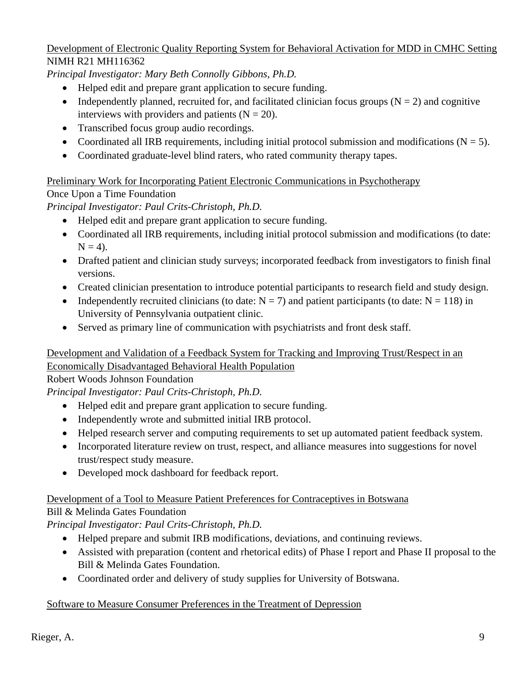#### Development of Electronic Quality Reporting System for Behavioral Activation for MDD in CMHC Setting NIMH R21 MH116362

*Principal Investigator: Mary Beth Connolly Gibbons, Ph.D.* 

- Helped edit and prepare grant application to secure funding.
- Independently planned, recruited for, and facilitated clinician focus groups  $(N = 2)$  and cognitive interviews with providers and patients  $(N = 20)$ .
- Transcribed focus group audio recordings.
- Coordinated all IRB requirements, including initial protocol submission and modifications  $(N = 5)$ .
- Coordinated graduate-level blind raters, who rated community therapy tapes.

### Preliminary Work for Incorporating Patient Electronic Communications in Psychotherapy

Once Upon a Time Foundation

*Principal Investigator: Paul Crits-Christoph, Ph.D.* 

- Helped edit and prepare grant application to secure funding.
- Coordinated all IRB requirements, including initial protocol submission and modifications (to date:  $N = 4$ ).
- Drafted patient and clinician study surveys; incorporated feedback from investigators to finish final versions.
- Created clinician presentation to introduce potential participants to research field and study design.
- Independently recruited clinicians (to date:  $N = 7$ ) and patient participants (to date:  $N = 118$ ) in University of Pennsylvania outpatient clinic.
- Served as primary line of communication with psychiatrists and front desk staff.

#### Development and Validation of a Feedback System for Tracking and Improving Trust/Respect in an Economically Disadvantaged Behavioral Health Population

Robert Woods Johnson Foundation

*Principal Investigator: Paul Crits-Christoph, Ph.D.* 

- Helped edit and prepare grant application to secure funding.
- Independently wrote and submitted initial IRB protocol.
- Helped research server and computing requirements to set up automated patient feedback system.
- Incorporated literature review on trust, respect, and alliance measures into suggestions for novel trust/respect study measure.
- Developed mock dashboard for feedback report.

#### Development of a Tool to Measure Patient Preferences for Contraceptives in Botswana

# Bill & Melinda Gates Foundation

*Principal Investigator: Paul Crits-Christoph, Ph.D.* 

- Helped prepare and submit IRB modifications, deviations, and continuing reviews.
- Assisted with preparation (content and rhetorical edits) of Phase I report and Phase II proposal to the Bill & Melinda Gates Foundation.
- Coordinated order and delivery of study supplies for University of Botswana.

# Software to Measure Consumer Preferences in the Treatment of Depression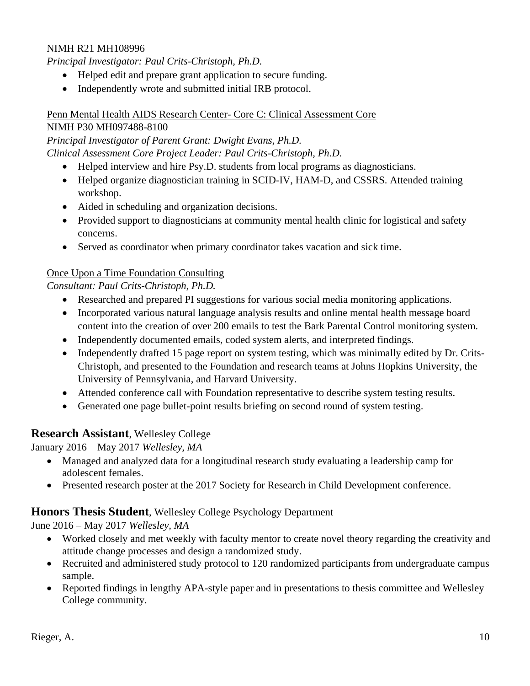#### NIMH R21 MH108996

*Principal Investigator: Paul Crits-Christoph, Ph.D.* 

- Helped edit and prepare grant application to secure funding.
- Independently wrote and submitted initial IRB protocol.

#### Penn Mental Health AIDS Research Center- Core C: Clinical Assessment Core

#### NIMH P30 MH097488-8100

*Principal Investigator of Parent Grant: Dwight Evans, Ph.D.*

*Clinical Assessment Core Project Leader: Paul Crits-Christoph, Ph.D.* 

- Helped interview and hire Psy.D. students from local programs as diagnosticians.
- Helped organize diagnostician training in SCID-IV, HAM-D, and CSSRS. Attended training workshop.
- Aided in scheduling and organization decisions.
- Provided support to diagnosticians at community mental health clinic for logistical and safety concerns.
- Served as coordinator when primary coordinator takes vacation and sick time.

#### Once Upon a Time Foundation Consulting

*Consultant: Paul Crits-Christoph, Ph.D.* 

- Researched and prepared PI suggestions for various social media monitoring applications.
- Incorporated various natural language analysis results and online mental health message board content into the creation of over 200 emails to test the Bark Parental Control monitoring system.
- Independently documented emails, coded system alerts, and interpreted findings.
- Independently drafted 15 page report on system testing, which was minimally edited by Dr. Crits-Christoph, and presented to the Foundation and research teams at Johns Hopkins University, the University of Pennsylvania, and Harvard University.
- Attended conference call with Foundation representative to describe system testing results.
- Generated one page bullet-point results briefing on second round of system testing.

#### **Research Assistant**, Wellesley College

January 2016 – May 2017 *Wellesley, MA*

- Managed and analyzed data for a longitudinal research study evaluating a leadership camp for adolescent females.
- Presented research poster at the 2017 Society for Research in Child Development conference.

#### **Honors Thesis Student**, Wellesley College Psychology Department

June 2016 – May 2017 *Wellesley, MA*

- Worked closely and met weekly with faculty mentor to create novel theory regarding the creativity and attitude change processes and design a randomized study.
- Recruited and administered study protocol to 120 randomized participants from undergraduate campus sample.
- Reported findings in lengthy APA-style paper and in presentations to thesis committee and Wellesley College community.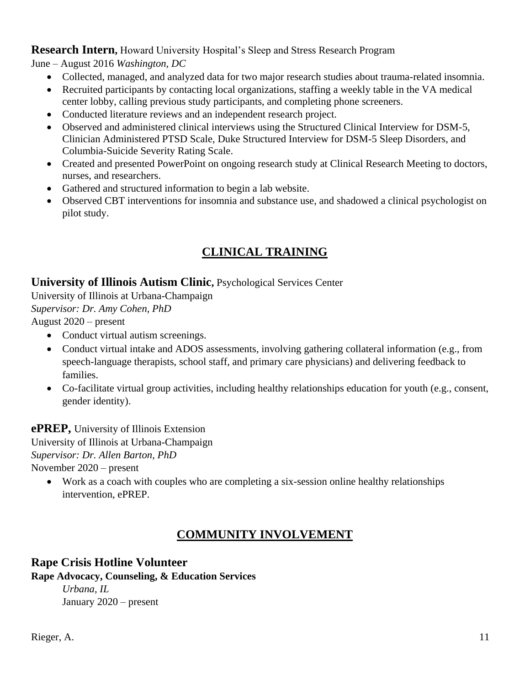### **Research Intern,** Howard University Hospital's Sleep and Stress Research Program

June – August 2016 *Washington, DC*

- Collected, managed, and analyzed data for two major research studies about trauma-related insomnia.
- Recruited participants by contacting local organizations, staffing a weekly table in the VA medical center lobby, calling previous study participants, and completing phone screeners.
- Conducted literature reviews and an independent research project.
- Observed and administered clinical interviews using the Structured Clinical Interview for DSM-5, Clinician Administered PTSD Scale, Duke Structured Interview for DSM-5 Sleep Disorders, and Columbia-Suicide Severity Rating Scale.
- Created and presented PowerPoint on ongoing research study at Clinical Research Meeting to doctors, nurses, and researchers.
- Gathered and structured information to begin a lab website.
- Observed CBT interventions for insomnia and substance use, and shadowed a clinical psychologist on pilot study.

# **CLINICAL TRAINING**

### **University of Illinois Autism Clinic,** Psychological Services Center

University of Illinois at Urbana-Champaign *Supervisor: Dr. Amy Cohen, PhD* August 2020 – present

- Conduct virtual autism screenings.
- Conduct virtual intake and ADOS assessments, involving gathering collateral information (e.g., from speech-language therapists, school staff, and primary care physicians) and delivering feedback to families.
- Co-facilitate virtual group activities, including healthy relationships education for youth (e.g., consent, gender identity).

**ePREP,** University of Illinois Extension University of Illinois at Urbana-Champaign

*Supervisor: Dr. Allen Barton, PhD*

November 2020 – present

 Work as a coach with couples who are completing a six-session online healthy relationships intervention, ePREP.

# **COMMUNITY INVOLVEMENT**

# **Rape Crisis Hotline Volunteer**

**Rape Advocacy, Counseling, & Education Services** 

*Urbana, IL*  January 2020 – present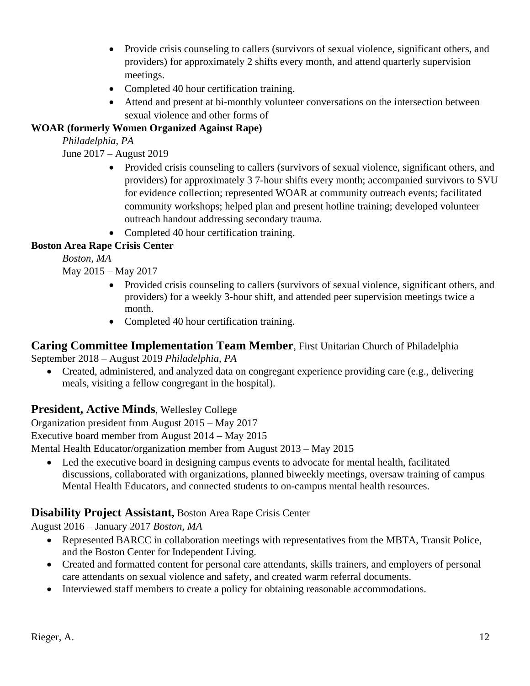- Provide crisis counseling to callers (survivors of sexual violence, significant others, and providers) for approximately 2 shifts every month, and attend quarterly supervision meetings.
- Completed 40 hour certification training.
- Attend and present at bi-monthly volunteer conversations on the intersection between sexual violence and other forms of

### **WOAR (formerly Women Organized Against Rape)**

*Philadelphia, PA* 

June 2017 – August 2019

- Provided crisis counseling to callers (survivors of sexual violence, significant others, and providers) for approximately 3 7-hour shifts every month; accompanied survivors to SVU for evidence collection; represented WOAR at community outreach events; facilitated community workshops; helped plan and present hotline training; developed volunteer outreach handout addressing secondary trauma.
- Completed 40 hour certification training.

# **Boston Area Rape Crisis Center**

*Boston, MA* 

May 2015 – May 2017

- Provided crisis counseling to callers (survivors of sexual violence, significant others, and providers) for a weekly 3-hour shift, and attended peer supervision meetings twice a month.
- Completed 40 hour certification training.

# **Caring Committee Implementation Team Member**, First Unitarian Church of Philadelphia

September 2018 – August 2019 *Philadelphia, PA* 

 Created, administered, and analyzed data on congregant experience providing care (e.g., delivering meals, visiting a fellow congregant in the hospital).

# **President, Active Minds**, Wellesley College

Organization president from August 2015 – May 2017

Executive board member from August 2014 – May 2015

Mental Health Educator/organization member from August 2013 – May 2015

 Led the executive board in designing campus events to advocate for mental health, facilitated discussions, collaborated with organizations, planned biweekly meetings, oversaw training of campus Mental Health Educators, and connected students to on-campus mental health resources.

# **Disability Project Assistant,** Boston Area Rape Crisis Center

August 2016 – January 2017 *Boston, MA*

- Represented BARCC in collaboration meetings with representatives from the MBTA, Transit Police, and the Boston Center for Independent Living.
- Created and formatted content for personal care attendants, skills trainers, and employers of personal care attendants on sexual violence and safety, and created warm referral documents.
- Interviewed staff members to create a policy for obtaining reasonable accommodations.